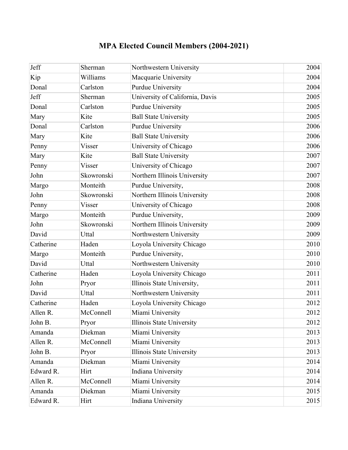## **MPA Elected Council Members (2004-2021)**

| Jeff      | Sherman    | Northwestern University         | 2004 |
|-----------|------------|---------------------------------|------|
| Kip       | Williams   | Macquarie University            | 2004 |
| Donal     | Carlston   | <b>Purdue University</b>        | 2004 |
| Jeff      | Sherman    | University of California, Davis | 2005 |
| Donal     | Carlston   | <b>Purdue University</b>        | 2005 |
| Mary      | Kite       | <b>Ball State University</b>    | 2005 |
| Donal     | Carlston   | <b>Purdue University</b>        | 2006 |
| Mary      | Kite       | <b>Ball State University</b>    | 2006 |
| Penny     | Visser     | University of Chicago           | 2006 |
| Mary      | Kite       | <b>Ball State University</b>    | 2007 |
| Penny     | Visser     | University of Chicago           | 2007 |
| John      | Skowronski | Northern Illinois University    | 2007 |
| Margo     | Monteith   | Purdue University,              | 2008 |
| John      | Skowronski | Northern Illinois University    | 2008 |
| Penny     | Visser     | University of Chicago           | 2008 |
| Margo     | Monteith   | Purdue University,              | 2009 |
| John      | Skowronski | Northern Illinois University    | 2009 |
| David     | Uttal      | Northwestern University         | 2009 |
| Catherine | Haden      | Loyola University Chicago       | 2010 |
| Margo     | Monteith   | Purdue University,              | 2010 |
| David     | Uttal      | Northwestern University         | 2010 |
| Catherine | Haden      | Loyola University Chicago       | 2011 |
| John      | Pryor      | Illinois State University,      | 2011 |
| David     | Uttal      | Northwestern University         | 2011 |
| Catherine | Haden      | Loyola University Chicago       | 2012 |
| Allen R.  | McConnell  | Miami University                | 2012 |
| John B.   | Pryor      | Illinois State University       | 2012 |
| Amanda    | Diekman    | Miami University                | 2013 |
| Allen R.  | McConnell  | Miami University                | 2013 |
| John B.   | Pryor      | Illinois State University       | 2013 |
| Amanda    | Diekman    | Miami University                | 2014 |
| Edward R. | Hirt       | Indiana University              | 2014 |
| Allen R.  | McConnell  | Miami University                | 2014 |
| Amanda    | Diekman    | Miami University                | 2015 |
| Edward R. | Hirt       | Indiana University              | 2015 |